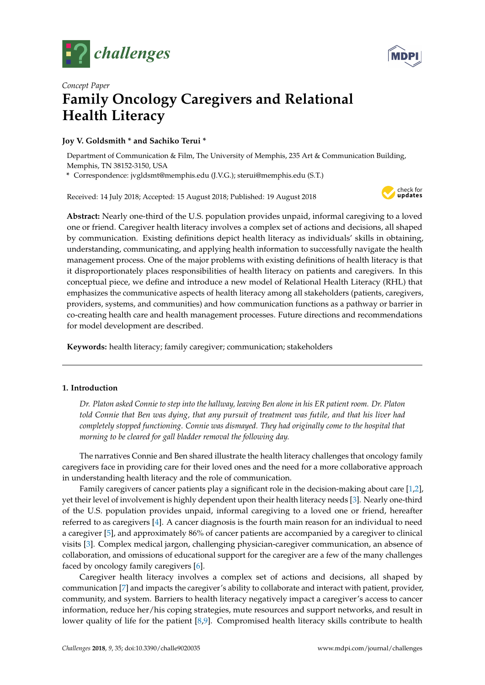



# *Concept Paper* **Family Oncology Caregivers and Relational Health Literacy**

# **Joy V. Goldsmith \* and Sachiko Terui \***

Department of Communication & Film, The University of Memphis, 235 Art & Communication Building, Memphis, TN 38152-3150, USA

**\*** Correspondence: jvgldsmt@memphis.edu (J.V.G.); sterui@memphis.edu (S.T.)

Received: 14 July 2018; Accepted: 15 August 2018; Published: 19 August 2018



**Abstract:** Nearly one-third of the U.S. population provides unpaid, informal caregiving to a loved one or friend. Caregiver health literacy involves a complex set of actions and decisions, all shaped by communication. Existing definitions depict health literacy as individuals' skills in obtaining, understanding, communicating, and applying health information to successfully navigate the health management process. One of the major problems with existing definitions of health literacy is that it disproportionately places responsibilities of health literacy on patients and caregivers. In this conceptual piece, we define and introduce a new model of Relational Health Literacy (RHL) that emphasizes the communicative aspects of health literacy among all stakeholders (patients, caregivers, providers, systems, and communities) and how communication functions as a pathway or barrier in co-creating health care and health management processes. Future directions and recommendations for model development are described.

**Keywords:** health literacy; family caregiver; communication; stakeholders

## **1. Introduction**

*Dr. Platon asked Connie to step into the hallway, leaving Ben alone in his ER patient room. Dr. Platon told Connie that Ben was dying, that any pursuit of treatment was futile, and that his liver had completely stopped functioning. Connie was dismayed. They had originally come to the hospital that morning to be cleared for gall bladder removal the following day.*

The narratives Connie and Ben shared illustrate the health literacy challenges that oncology family caregivers face in providing care for their loved ones and the need for a more collaborative approach in understanding health literacy and the role of communication.

Family caregivers of cancer patients play a significant role in the decision-making about care [\[1](#page-6-0)[,2\]](#page-6-1), yet their level of involvement is highly dependent upon their health literacy needs [\[3\]](#page-6-2). Nearly one-third of the U.S. population provides unpaid, informal caregiving to a loved one or friend, hereafter referred to as caregivers [\[4\]](#page-6-3). A cancer diagnosis is the fourth main reason for an individual to need a caregiver [\[5\]](#page-6-4), and approximately 86% of cancer patients are accompanied by a caregiver to clinical visits [\[3\]](#page-6-2). Complex medical jargon, challenging physician-caregiver communication, an absence of collaboration, and omissions of educational support for the caregiver are a few of the many challenges faced by oncology family caregivers [\[6\]](#page-6-5).

Caregiver health literacy involves a complex set of actions and decisions, all shaped by communication [\[7\]](#page-6-6) and impacts the caregiver's ability to collaborate and interact with patient, provider, community, and system. Barriers to health literacy negatively impact a caregiver's access to cancer information, reduce her/his coping strategies, mute resources and support networks, and result in lower quality of life for the patient [\[8,](#page-6-7)[9\]](#page-6-8). Compromised health literacy skills contribute to health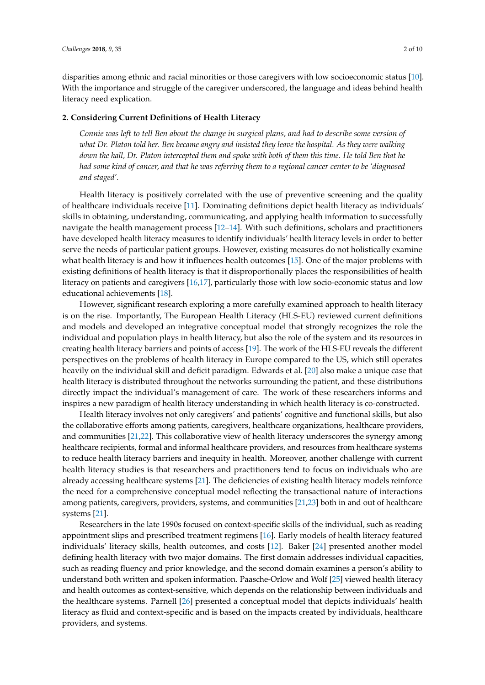disparities among ethnic and racial minorities or those caregivers with low socioeconomic status [\[10\]](#page-6-9). With the importance and struggle of the caregiver underscored, the language and ideas behind health literacy need explication.

#### **2. Considering Current Definitions of Health Literacy**

*Connie was left to tell Ben about the change in surgical plans, and had to describe some version of what Dr. Platon told her. Ben became angry and insisted they leave the hospital. As they were walking down the hall, Dr. Platon intercepted them and spoke with both of them this time. He told Ben that he had some kind of cancer, and that he was referring them to a regional cancer center to be 'diagnosed and staged'.*

Health literacy is positively correlated with the use of preventive screening and the quality of healthcare individuals receive [\[11\]](#page-6-10). Dominating definitions depict health literacy as individuals' skills in obtaining, understanding, communicating, and applying health information to successfully navigate the health management process [\[12](#page-7-0)[–14\]](#page-7-1). With such definitions, scholars and practitioners have developed health literacy measures to identify individuals' health literacy levels in order to better serve the needs of particular patient groups. However, existing measures do not holistically examine what health literacy is and how it influences health outcomes [\[15\]](#page-7-2). One of the major problems with existing definitions of health literacy is that it disproportionally places the responsibilities of health literacy on patients and caregivers [\[16,](#page-7-3)[17\]](#page-7-4), particularly those with low socio-economic status and low educational achievements [\[18\]](#page-7-5).

However, significant research exploring a more carefully examined approach to health literacy is on the rise. Importantly, The European Health Literacy (HLS-EU) reviewed current definitions and models and developed an integrative conceptual model that strongly recognizes the role the individual and population plays in health literacy, but also the role of the system and its resources in creating health literacy barriers and points of access [\[19\]](#page-7-6). The work of the HLS-EU reveals the different perspectives on the problems of health literacy in Europe compared to the US, which still operates heavily on the individual skill and deficit paradigm. Edwards et al. [\[20\]](#page-7-7) also make a unique case that health literacy is distributed throughout the networks surrounding the patient, and these distributions directly impact the individual's management of care. The work of these researchers informs and inspires a new paradigm of health literacy understanding in which health literacy is co-constructed.

Health literacy involves not only caregivers' and patients' cognitive and functional skills, but also the collaborative efforts among patients, caregivers, healthcare organizations, healthcare providers, and communities [\[21](#page-7-8)[,22\]](#page-7-9). This collaborative view of health literacy underscores the synergy among healthcare recipients, formal and informal healthcare providers, and resources from healthcare systems to reduce health literacy barriers and inequity in health. Moreover, another challenge with current health literacy studies is that researchers and practitioners tend to focus on individuals who are already accessing healthcare systems [\[21\]](#page-7-8). The deficiencies of existing health literacy models reinforce the need for a comprehensive conceptual model reflecting the transactional nature of interactions among patients, caregivers, providers, systems, and communities [\[21](#page-7-8)[,23\]](#page-7-10) both in and out of healthcare systems [\[21\]](#page-7-8).

Researchers in the late 1990s focused on context-specific skills of the individual, such as reading appointment slips and prescribed treatment regimens [\[16\]](#page-7-3). Early models of health literacy featured individuals' literacy skills, health outcomes, and costs [\[12\]](#page-7-0). Baker [\[24\]](#page-7-11) presented another model defining health literacy with two major domains. The first domain addresses individual capacities, such as reading fluency and prior knowledge, and the second domain examines a person's ability to understand both written and spoken information. Paasche-Orlow and Wolf [\[25\]](#page-7-12) viewed health literacy and health outcomes as context-sensitive, which depends on the relationship between individuals and the healthcare systems. Parnell [\[26\]](#page-7-13) presented a conceptual model that depicts individuals' health literacy as fluid and context-specific and is based on the impacts created by individuals, healthcare providers, and systems.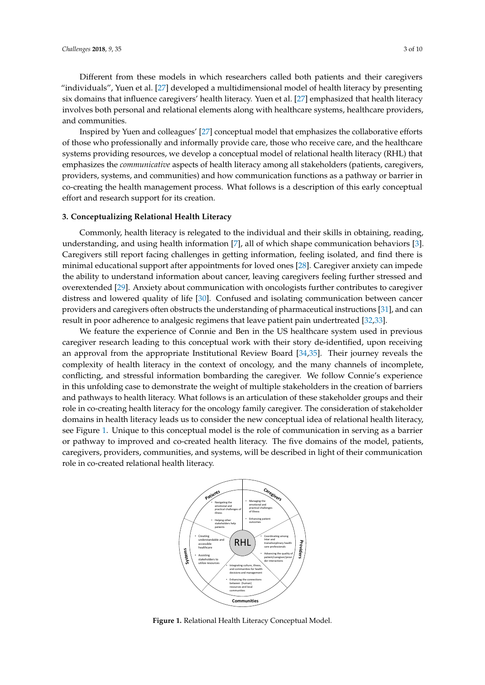Different from these models in which researchers called both patients and their caregivers "individuals", Yuen et al. [\[27\]](#page-7-14) developed a multidimensional model of health literacy by presenting six domains that influence caregivers' health literacy. Yuen et al. [\[27\]](#page-7-14) emphasized that health literacy involves both personal and relational elements along with healthcare systems, healthcare providers, and communities.

Inspired by Yuen and colleagues' [\[27\]](#page-7-14) conceptual model that emphasizes the collaborative efforts of those who professionally and informally provide care, those who receive care, and the healthcare systems providing resources, we develop a conceptual model of relational health literacy (RHL) that emphasizes the *communicative* aspects of health literacy among all stakeholders (patients, caregivers, providers, systems, and communities) and how communication functions as a pathway or barrier in co-creating the health management process. What follows is a description of this early conceptual effort and research support for its creation. and communities.

#### **3. Conceptualizing Relational Health Literacy** refig including the fill interacy

Commonly, health literacy is relegated to the individual and their skills in obtaining, reading, understanding, and using health information [\[7\]](#page-6-6), all of which shape communication behaviors [\[3\]](#page-6-2). Caregivers still report facing challenges in getting information, feeling isolated, and find there is minimal educational support after appointments for loved ones [\[28\]](#page-7-15). Caregiver anxiety can impede the ability to understand information about cancer, leaving caregivers feeling further stressed and overextended [\[29\]](#page-7-16). Anxiety about communication with oncologists further contributes to caregiver distress and lowered quality of life [\[30\]](#page-7-17). Confused and isolating communication between cancer providers and caregivers often obstructs the understanding of pharmaceutical instructions [\[31\]](#page-7-18), and can result in poor adherence to analgesic regimens that leave patient pain undertreated [\[32](#page-7-19)[,33\]](#page-7-20). (RHL) that emphasizes the *communicative* aspects of health literacy among all stakeholders (patients,  $m_{\sigma}$  and a contributional support after a ppointments for  $\sigma$ 

We feature the experience of Connie and Ben in the US healthcare system used in previous caregiver research leading to this conceptual work with their story de-identified, upon receiving an approval from the appropriate Institutional Review Board [\[34,](#page-8-0)[35\]](#page-8-1). Their journey reveals the complexity of health literacy in the context of oncology, and the many channels of incomplete, conflicting, and stressful information bombarding the caregiver. We follow Connie's experience in this unfolding case to demonstrate the weight of multiple stakeholders in the creation of barriers and pathways to health literacy. What follows is an articulation of these stakeholder groups and their role in co-creating health literacy for the oncology family caregiver. The consideration of stakeholder domains in health literacy leads us to consider the new conceptual idea of relational health literacy, see Figure [1.](#page-2-0) Unique to this conceptual model is the role of communication in serving as a barrier or pathway to improved and co-created health literacy. The five domains of the model, patients, caregivers, providers, communities, and systems, will be described in light of their communication role in co-created relational health literacy. role in co-created relational health literacy. can the appropriate institutional neview board  $[3,3]$ . Their journe the case to demonstrate the weight of mumple stakeholders in the creation  $\epsilon$ cant mergey reads as to consider the new conceptual faction of relational near caregivers, providers, communities, and systems, will be described in light of their communication

<span id="page-2-0"></span>

**Figure 1.** Relational Health Literacy Conceptual Model. **Figure 1.** Relational Health Literacy Conceptual Model.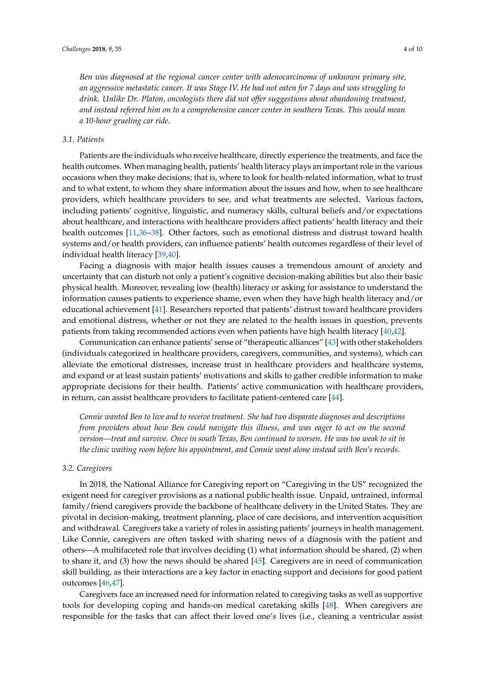*Ben was diagnosed at the regional cancer center with adenocarcinoma of unknown primary site, an aggressive metastatic cancer. It was Stage IV. He had not eaten for 7 days and was struggling to drink. Unlike Dr. Platon, oncologists there did not offer suggestions about abandoning treatment, and instead referred him on to a comprehensive cancer center in southern Texas. This would mean a 10-hour grueling car ride.*

#### *3.1. Patients*

Patients are the individuals who receive healthcare, directly experience the treatments, and face the health outcomes. When managing health, patients' health literacy plays an important role in the various occasions when they make decisions; that is, where to look for health-related information, what to trust and to what extent, to whom they share information about the issues and how, when to see healthcare providers, which healthcare providers to see, and what treatments are selected. Various factors, including patients' cognitive, linguistic, and numeracy skills, cultural beliefs and/or expectations about healthcare, and interactions with healthcare providers affect patients' health literacy and their health outcomes [\[11](#page-6-10)[,36–](#page-8-2)[38\]](#page-8-3). Other factors, such as emotional distress and distrust toward health systems and/or health providers, can influence patients' health outcomes regardless of their level of individual health literacy [\[39,](#page-8-4)[40\]](#page-8-5).

Facing a diagnosis with major health issues causes a tremendous amount of anxiety and uncertainty that can disturb not only a patient's cognitive decision-making abilities but also their basic physical health. Moreover, revealing low (health) literacy or asking for assistance to understand the information causes patients to experience shame, even when they have high health literacy and/or educational achievement [\[41\]](#page-8-6). Researchers reported that patients' distrust toward healthcare providers and emotional distress, whether or not they are related to the health issues in question, prevents patients from taking recommended actions even when patients have high health literacy [\[40,](#page-8-5)[42\]](#page-8-7).

Communication can enhance patients' sense of "therapeutic alliances" [\[43\]](#page-8-8) with other stakeholders (individuals categorized in healthcare providers, caregivers, communities, and systems), which can alleviate the emotional distresses, increase trust in healthcare providers and healthcare systems, and expand or at least sustain patients' motivations and skills to gather credible information to make appropriate decisions for their health. Patients' active communication with healthcare providers, in return, can assist healthcare providers to facilitate patient-centered care [\[44\]](#page-8-9).

*Connie wanted Ben to live and to receive treatment. She had two disparate diagnoses and descriptions from providers about how Ben could navigate this illness, and was eager to act on the second version—treat and survive. Once in south Texas, Ben continued to worsen. He was too weak to sit in the clinic waiting room before his appointment, and Connie went alone instead with Ben's records.*

#### *3.2. Caregivers*

In 2018, the National Alliance for Caregiving report on "Caregiving in the US" recognized the exigent need for caregiver provisions as a national public health issue. Unpaid, untrained, informal family/friend caregivers provide the backbone of healthcare delivery in the United States. They are pivotal in decision-making, treatment planning, place of care decisions, and intervention acquisition and withdrawal. Caregivers take a variety of roles in assisting patients' journeys in health management. Like Connie, caregivers are often tasked with sharing news of a diagnosis with the patient and others—A multifaceted role that involves deciding (1) what information should be shared, (2) when to share it, and (3) how the news should be shared [\[45\]](#page-8-10). Caregivers are in need of communication skill building, as their interactions are a key factor in enacting support and decisions for good patient outcomes [\[46,](#page-8-11)[47\]](#page-8-12).

Caregivers face an increased need for information related to caregiving tasks as well as supportive tools for developing coping and hands-on medical caretaking skills [\[48\]](#page-8-13). When caregivers are responsible for the tasks that can affect their loved one's lives (i.e., cleaning a ventricular assist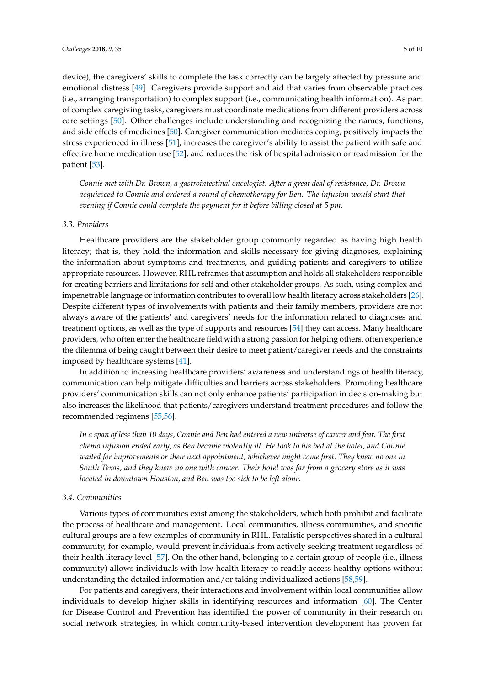device), the caregivers' skills to complete the task correctly can be largely affected by pressure and emotional distress [\[49\]](#page-8-14). Caregivers provide support and aid that varies from observable practices (i.e., arranging transportation) to complex support (i.e., communicating health information). As part of complex caregiving tasks, caregivers must coordinate medications from different providers across care settings [\[50\]](#page-8-15). Other challenges include understanding and recognizing the names, functions, and side effects of medicines [\[50\]](#page-8-15). Caregiver communication mediates coping, positively impacts the stress experienced in illness [\[51\]](#page-8-16), increases the caregiver's ability to assist the patient with safe and effective home medication use [\[52\]](#page-8-17), and reduces the risk of hospital admission or readmission for the patient [\[53\]](#page-8-18).

*Connie met with Dr. Brown, a gastrointestinal oncologist. After a great deal of resistance, Dr. Brown acquiesced to Connie and ordered a round of chemotherapy for Ben. The infusion would start that evening if Connie could complete the payment for it before billing closed at 5 pm.*

#### *3.3. Providers*

Healthcare providers are the stakeholder group commonly regarded as having high health literacy; that is, they hold the information and skills necessary for giving diagnoses, explaining the information about symptoms and treatments, and guiding patients and caregivers to utilize appropriate resources. However, RHL reframes that assumption and holds all stakeholders responsible for creating barriers and limitations for self and other stakeholder groups. As such, using complex and impenetrable language or information contributes to overall low health literacy across stakeholders [\[26\]](#page-7-13). Despite different types of involvements with patients and their family members, providers are not always aware of the patients' and caregivers' needs for the information related to diagnoses and treatment options, as well as the type of supports and resources [\[54\]](#page-9-0) they can access. Many healthcare providers, who often enter the healthcare field with a strong passion for helping others, often experience the dilemma of being caught between their desire to meet patient/caregiver needs and the constraints imposed by healthcare systems [\[41\]](#page-8-6).

In addition to increasing healthcare providers' awareness and understandings of health literacy, communication can help mitigate difficulties and barriers across stakeholders. Promoting healthcare providers' communication skills can not only enhance patients' participation in decision-making but also increases the likelihood that patients/caregivers understand treatment procedures and follow the recommended regimens [\[55](#page-9-1)[,56\]](#page-9-2).

*In a span of less than 10 days, Connie and Ben had entered a new universe of cancer and fear. The first chemo infusion ended early, as Ben became violently ill. He took to his bed at the hotel, and Connie waited for improvements or their next appointment, whichever might come first. They knew no one in South Texas, and they knew no one with cancer. Their hotel was far from a grocery store as it was located in downtown Houston, and Ben was too sick to be left alone.*

#### *3.4. Communities*

Various types of communities exist among the stakeholders, which both prohibit and facilitate the process of healthcare and management. Local communities, illness communities, and specific cultural groups are a few examples of community in RHL. Fatalistic perspectives shared in a cultural community, for example, would prevent individuals from actively seeking treatment regardless of their health literacy level [\[57\]](#page-9-3). On the other hand, belonging to a certain group of people (i.e., illness community) allows individuals with low health literacy to readily access healthy options without understanding the detailed information and/or taking individualized actions [\[58](#page-9-4)[,59\]](#page-9-5).

For patients and caregivers, their interactions and involvement within local communities allow individuals to develop higher skills in identifying resources and information [\[60\]](#page-9-6). The Center for Disease Control and Prevention has identified the power of community in their research on social network strategies, in which community-based intervention development has proven far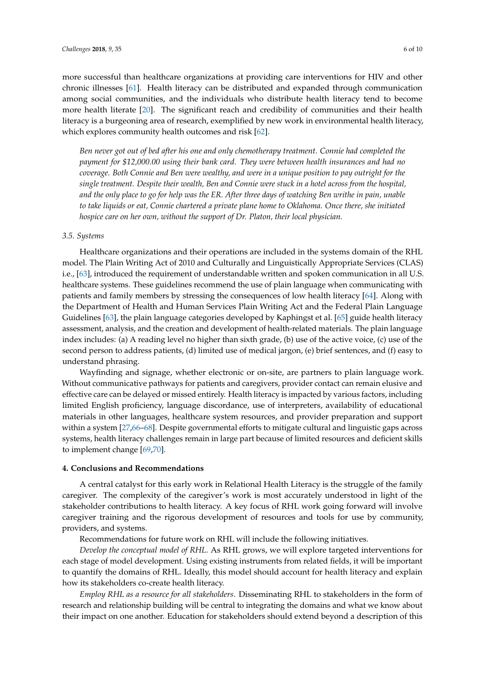more successful than healthcare organizations at providing care interventions for HIV and other chronic illnesses [\[61\]](#page-9-7). Health literacy can be distributed and expanded through communication among social communities, and the individuals who distribute health literacy tend to become more health literate [\[20\]](#page-7-7). The significant reach and credibility of communities and their health literacy is a burgeoning area of research, exemplified by new work in environmental health literacy, which explores community health outcomes and risk [\[62\]](#page-9-8).

*Ben never got out of bed after his one and only chemotherapy treatment. Connie had completed the payment for \$12,000.00 using their bank card. They were between health insurances and had no coverage. Both Connie and Ben were wealthy, and were in a unique position to pay outright for the single treatment. Despite their wealth, Ben and Connie were stuck in a hotel across from the hospital, and the only place to go for help was the ER. After three days of watching Ben writhe in pain, unable to take liquids or eat, Connie chartered a private plane home to Oklahoma. Once there, she initiated hospice care on her own, without the support of Dr. Platon, their local physician.*

#### *3.5. Systems*

Healthcare organizations and their operations are included in the systems domain of the RHL model. The Plain Writing Act of 2010 and Culturally and Linguistically Appropriate Services (CLAS) i.e., [\[63\]](#page-9-9), introduced the requirement of understandable written and spoken communication in all U.S. healthcare systems. These guidelines recommend the use of plain language when communicating with patients and family members by stressing the consequences of low health literacy [\[64\]](#page-9-10). Along with the Department of Health and Human Services Plain Writing Act and the Federal Plain Language Guidelines [\[63\]](#page-9-9), the plain language categories developed by Kaphingst et al. [\[65\]](#page-9-11) guide health literacy assessment, analysis, and the creation and development of health-related materials. The plain language index includes: (a) A reading level no higher than sixth grade, (b) use of the active voice, (c) use of the second person to address patients, (d) limited use of medical jargon, (e) brief sentences, and (f) easy to understand phrasing.

Wayfinding and signage, whether electronic or on-site, are partners to plain language work. Without communicative pathways for patients and caregivers, provider contact can remain elusive and effective care can be delayed or missed entirely. Health literacy is impacted by various factors, including limited English proficiency, language discordance, use of interpreters, availability of educational materials in other languages, healthcare system resources, and provider preparation and support within a system [\[27,](#page-7-14)[66](#page-9-12)[–68\]](#page-9-13). Despite governmental efforts to mitigate cultural and linguistic gaps across systems, health literacy challenges remain in large part because of limited resources and deficient skills to implement change [\[69](#page-9-14)[,70\]](#page-9-15).

#### **4. Conclusions and Recommendations**

A central catalyst for this early work in Relational Health Literacy is the struggle of the family caregiver. The complexity of the caregiver's work is most accurately understood in light of the stakeholder contributions to health literacy. A key focus of RHL work going forward will involve caregiver training and the rigorous development of resources and tools for use by community, providers, and systems.

Recommendations for future work on RHL will include the following initiatives.

*Develop the conceptual model of RHL.* As RHL grows, we will explore targeted interventions for each stage of model development. Using existing instruments from related fields, it will be important to quantify the domains of RHL. Ideally, this model should account for health literacy and explain how its stakeholders co-create health literacy.

*Employ RHL as a resource for all stakeholders*. Disseminating RHL to stakeholders in the form of research and relationship building will be central to integrating the domains and what we know about their impact on one another. Education for stakeholders should extend beyond a description of this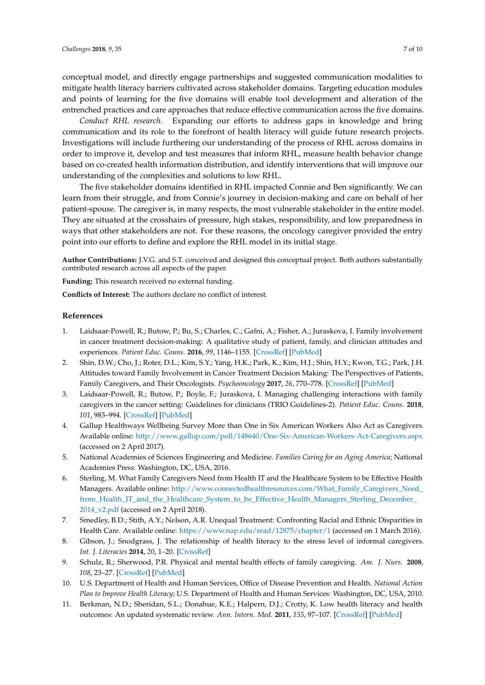conceptual model, and directly engage partnerships and suggested communication modalities to mitigate health literacy barriers cultivated across stakeholder domains. Targeting education modules and points of learning for the five domains will enable tool development and alteration of the entrenched practices and care approaches that reduce effective communication across the five domains.

*Conduct RHL research.* Expanding our efforts to address gaps in knowledge and bring communication and its role to the forefront of health literacy will guide future research projects. Investigations will include furthering our understanding of the process of RHL across domains in order to improve it, develop and test measures that inform RHL, measure health behavior change based on co-created health information distribution, and identify interventions that will improve our understanding of the complexities and solutions to low RHL.

The five stakeholder domains identified in RHL impacted Connie and Ben significantly. We can learn from their struggle, and from Connie's journey in decision-making and care on behalf of her patient-spouse. The caregiver is, in many respects, the most vulnerable stakeholder in the entire model. They are situated at the crosshairs of pressure, high stakes, responsibility, and low preparedness in ways that other stakeholders are not. For these reasons, the oncology caregiver provided the entry point into our efforts to define and explore the RHL model in its initial stage.

**Author Contributions:** J.V.G. and S.T. conceived and designed this conceptual project. Both authors substantially contributed research across all aspects of the paper.

**Funding:** This research received no external funding.

**Conflicts of Interest:** The authors declare no conflict of interest.

### **References**

- <span id="page-6-0"></span>1. Laidsaar-Powell, R.; Butow, P.; Bu, S.; Charles, C.; Gafni, A.; Fisher, A.; Juraskova, I. Family involvement in cancer treatment decision-making: A qualitative study of patient, family, and clinician attitudes and experiences. *Patient Educ. Couns.* **2016**, *99*, 1146–1155. [\[CrossRef\]](http://dx.doi.org/10.1016/j.pec.2016.01.014) [\[PubMed\]](http://www.ncbi.nlm.nih.gov/pubmed/26873544)
- <span id="page-6-1"></span>2. Shin, D.W.; Cho, J.; Roter, D.L.; Kim, S.Y.; Yang, H.K.; Park, K.; Kim, H.J.; Shin, H.Y.; Kwon, T.G.; Park, J.H. Attitudes toward Family Involvement in Cancer Treatment Decision Making: The Perspectives of Patients, Family Caregivers, and Their Oncologists. *Psychooncology* **2017**, *26*, 770–778. [\[CrossRef\]](http://dx.doi.org/10.1002/pon.4226) [\[PubMed\]](http://www.ncbi.nlm.nih.gov/pubmed/27437905)
- <span id="page-6-2"></span>3. Laidsaar-Powell, R.; Butow, P.; Boyle, F.; Juraskova, I. Managing challenging interactions with family caregivers in the cancer setting: Guidelines for clinicians (TRIO Guidelines-2). *Patient Educ. Couns.* **2018**, *101*, 983–994. [\[CrossRef\]](http://dx.doi.org/10.1016/j.pec.2018.01.020) [\[PubMed\]](http://www.ncbi.nlm.nih.gov/pubmed/29526388)
- <span id="page-6-3"></span>4. Gallup Healthways Wellbeing Survey More than One in Six American Workers Also Act as Caregivers. Available online: <http://www.gallup.com/poll/148640/One-Six-American-Workers-Act-Caregivers.aspx> (accessed on 2 April 2017).
- <span id="page-6-4"></span>5. National Academies of Sciences Engineering and Medicine. *Families Caring for an Aging America*; National Academies Press: Washington, DC, USA, 2016.
- <span id="page-6-5"></span>6. Sterling, M. What Family Caregivers Need from Health IT and the Healthcare System to be Effective Health Managers. Available online: [http://www.connectedhealthresources.com/What\\_Family\\_Caregivers\\_Need\\_](http://www.connectedhealthresources.com/What_Family_Caregivers_Need_from_Health_IT_and_the_Healthcare_System_to_be_Effective_Health_Managers_Sterling_December_2014_v2.pdf) [from\\_Health\\_IT\\_and\\_the\\_Healthcare\\_System\\_to\\_be\\_Effective\\_Health\\_Managers\\_Sterling\\_December\\_](http://www.connectedhealthresources.com/What_Family_Caregivers_Need_from_Health_IT_and_the_Healthcare_System_to_be_Effective_Health_Managers_Sterling_December_2014_v2.pdf) [2014\\_v2.pdf](http://www.connectedhealthresources.com/What_Family_Caregivers_Need_from_Health_IT_and_the_Healthcare_System_to_be_Effective_Health_Managers_Sterling_December_2014_v2.pdf) (accessed on 2 April 2018).
- <span id="page-6-6"></span>7. Smedley, B.D.; Stith, A.Y.; Nelson, A.R. Unequal Treatment: Confronting Racial and Ethnic Disparities in Health Care. Available online: <https://www.nap.edu/read/12875/chapter/1> (accessed on 1 March 2016).
- <span id="page-6-7"></span>8. Gibson, J.; Snodgrass, J. The relationship of health literacy to the stress level of informal caregivers. *Int. J. Literacies* **2014**, *20*, 1–20. [\[CrossRef\]](http://dx.doi.org/10.18848/2327-0136/CGP/v20i01/48823)
- <span id="page-6-8"></span>9. Schulz, R.; Sherwood, P.R. Physical and mental health effects of family caregiving. *Am. J. Nurs.* **2008**, *108*, 23–27. [\[CrossRef\]](http://dx.doi.org/10.1097/01.NAJ.0000336406.45248.4c) [\[PubMed\]](http://www.ncbi.nlm.nih.gov/pubmed/18797217)
- <span id="page-6-9"></span>10. U.S. Department of Health and Human Services, Office of Disease Prevention and Health. *National Action Plan to Improve Health Literacy*; U.S. Department of Health and Human Services: Washington, DC, USA, 2010.
- <span id="page-6-10"></span>11. Berkman, N.D.; Sheridan, S.L.; Donahue, K.E.; Halpern, D.J.; Crotty, K. Low health literacy and health outcomes: An updated systematic review. *Ann. Intern. Med.* **2011**, *155*, 97–107. [\[CrossRef\]](http://dx.doi.org/10.7326/0003-4819-155-2-201107190-00005) [\[PubMed\]](http://www.ncbi.nlm.nih.gov/pubmed/21768583)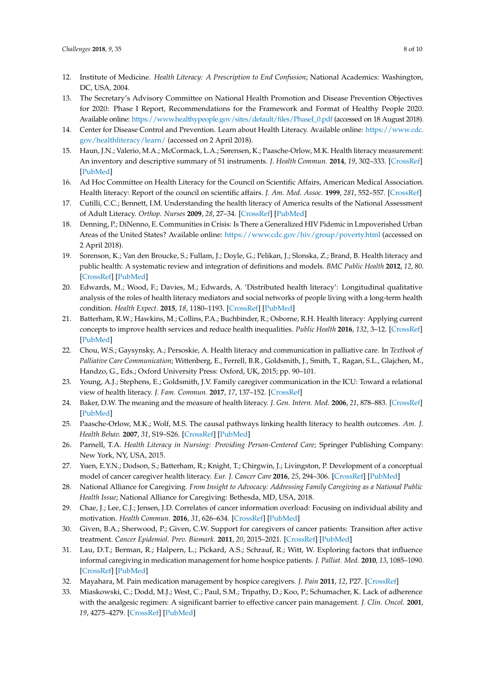- <span id="page-7-0"></span>12. Institute of Medicine. *Health Literacy: A Prescription to End Confusion*; National Academics: Washington, DC, USA, 2004.
- 13. The Secretary's Advisory Committee on National Health Promotion and Disease Prevention Objectives for 2020: Phase I Report, Recommendations for the Framework and Format of Healthy People 2020. Available online: [https://www.healthypeople.gov/sites/default/files/PhaseI\\_0.pdf](https://www.healthypeople.gov/sites/default/files/PhaseI_0.pdf) (accessed on 18 August 2018).
- <span id="page-7-1"></span>14. Center for Disease Control and Prevention. Learn about Health Literacy. Available online: [https://www.cdc.](https://www.cdc.gov/healthliteracy/learn/) [gov/healthliteracy/learn/](https://www.cdc.gov/healthliteracy/learn/) (accessed on 2 April 2018).
- <span id="page-7-2"></span>15. Haun, J.N.; Valerio, M.A.; McCormack, L.A.; Sørensen, K.; Paasche-Orlow, M.K. Health literacy measurement: An inventory and descriptive summary of 51 instruments. *J. Health Commun.* **2014**, *19*, 302–333. [\[CrossRef\]](http://dx.doi.org/10.1080/10810730.2014.936571) [\[PubMed\]](http://www.ncbi.nlm.nih.gov/pubmed/25315600)
- <span id="page-7-3"></span>16. Ad Hoc Committee on Health Literacy for the Council on Scientific Affairs, American Medical Association. Health literacy: Report of the council on scientific affairs. *J. Am. Med. Assoc.* **1999**, *281*, 552–557. [\[CrossRef\]](http://dx.doi.org/10.1001/jama.281.6.552)
- <span id="page-7-4"></span>17. Cutilli, C.C.; Bennett, I.M. Understanding the health literacy of America results of the National Assessment of Adult Literacy. *Orthop. Nurses* **2009**, *28*, 27–34. [\[CrossRef\]](http://dx.doi.org/10.1097/01.NOR.0000345852.22122.d6) [\[PubMed\]](http://www.ncbi.nlm.nih.gov/pubmed/19190475)
- <span id="page-7-5"></span>18. Denning, P.; DiNenno, E. Communities in Crisis: Is There a Generalized HIV Pidemic in Lmpoverished Urban Areas of the United States? Available online: <https://www.cdc.gov/hiv/group/poverty.html> (accessed on 2 April 2018).
- <span id="page-7-6"></span>19. Sorenson, K.; Van den Broucke, S.; Fullam, J.; Doyle, G.; Pelikan, J.; Slonska, Z.; Brand, B. Health literacy and public health: A systematic review and integration of definitions and models. *BMC Public Health* **2012**, *12*, 80. [\[CrossRef\]](http://dx.doi.org/10.1186/1471-2458-12-80) [\[PubMed\]](http://www.ncbi.nlm.nih.gov/pubmed/22276600)
- <span id="page-7-7"></span>20. Edwards, M.; Wood, F.; Davies, M.; Edwards, A. 'Distributed health literacy': Longitudinal qualitative analysis of the roles of health literacy mediators and social networks of people living with a long-term health condition. *Health Expect.* **2015**, *18*, 1180–1193. [\[CrossRef\]](http://dx.doi.org/10.1111/hex.12093) [\[PubMed\]](http://www.ncbi.nlm.nih.gov/pubmed/23773311)
- <span id="page-7-8"></span>21. Batterham, R.W.; Hawkins, M.; Collins, P.A.; Buchbinder, R.; Osborne, R.H. Health literacy: Applying current concepts to improve health services and reduce health inequalities. *Public Health* **2016**, *132*, 3–12. [\[CrossRef\]](http://dx.doi.org/10.1016/j.puhe.2016.01.001) [\[PubMed\]](http://www.ncbi.nlm.nih.gov/pubmed/26872738)
- <span id="page-7-9"></span>22. Chou, W.S.; Gaysynsky, A.; Persoskie, A. Health literacy and communication in palliative care. In *Textbook of Palliative Care Communication*; Wittenberg, E., Ferrell, B.R., Goldsmith, J., Smith, T., Ragan, S.L., Glajchen, M., Handzo, G., Eds.; Oxford University Press: Oxford, UK, 2015; pp. 90–101.
- <span id="page-7-10"></span>23. Young, A.J.; Stephens, E.; Goldsmith, J.V. Family caregiver communication in the ICU: Toward a relational view of health literacy. *J. Fam. Commun.* **2017**, *17*, 137–152. [\[CrossRef\]](http://dx.doi.org/10.1080/15267431.2016.1247845)
- <span id="page-7-11"></span>24. Baker, D.W. The meaning and the measure of health literacy. *J. Gen. Intern. Med.* **2006**, *21*, 878–883. [\[CrossRef\]](http://dx.doi.org/10.1111/j.1525-1497.2006.00540.x) [\[PubMed\]](http://www.ncbi.nlm.nih.gov/pubmed/16881951)
- <span id="page-7-12"></span>25. Paasche-Orlow, M.K.; Wolf, M.S. The causal pathways linking health literacy to health outcomes. *Am. J. Health Behav.* **2007**, *31*, S19–S26. [\[CrossRef\]](http://dx.doi.org/10.5993/AJHB.31.s1.4) [\[PubMed\]](http://www.ncbi.nlm.nih.gov/pubmed/17931132)
- <span id="page-7-13"></span>26. Parnell, T.A. *Health Literacy in Nursing: Providing Person-Centered Care*; Springer Publishing Company: New York, NY, USA, 2015.
- <span id="page-7-14"></span>27. Yuen, E.Y.N.; Dodson, S.; Batterham, R.; Knight, T.; Chirgwin, J.; Livingston, P. Development of a conceptual model of cancer caregiver health literacy. *Eur. J. Cancer Care* **2016**, *25*, 294–306. [\[CrossRef\]](http://dx.doi.org/10.1111/ecc.12284) [\[PubMed\]](http://www.ncbi.nlm.nih.gov/pubmed/25630765)
- <span id="page-7-15"></span>28. National Alliance for Caregiving. *From Insight to Advocacy: Addressing Family Caregiving as a National Public Health Issue*; National Alliance for Caregiving: Bethesda, MD, USA, 2018.
- <span id="page-7-16"></span>29. Chae, J.; Lee, C.J.; Jensen, J.D. Correlates of cancer information overload: Focusing on individual ability and motivation. *Health Commun.* **2016**, *31*, 626–634. [\[CrossRef\]](http://dx.doi.org/10.1080/10410236.2014.986026) [\[PubMed\]](http://www.ncbi.nlm.nih.gov/pubmed/26512760)
- <span id="page-7-17"></span>30. Given, B.A.; Sherwood, P.; Given, C.W. Support for caregivers of cancer patients: Transition after active treatment. *Cancer Epidemiol. Prev. Biomark.* **2011**, *20*, 2015–2021. [\[CrossRef\]](http://dx.doi.org/10.1158/1055-9965.EPI-11-0611) [\[PubMed\]](http://www.ncbi.nlm.nih.gov/pubmed/21980009)
- <span id="page-7-18"></span>31. Lau, D.T.; Berman, R.; Halpern, L.; Pickard, A.S.; Schrauf, R.; Witt, W. Exploring factors that influence informal caregiving in medication management for home hospice patients. *J. Palliat. Med.* **2010**, *13*, 1085–1090. [\[CrossRef\]](http://dx.doi.org/10.1089/jpm.2010.0082) [\[PubMed\]](http://www.ncbi.nlm.nih.gov/pubmed/20836633)
- <span id="page-7-19"></span>32. Mayahara, M. Pain medication management by hospice caregivers. *J. Pain* **2011**, *12*, P27. [\[CrossRef\]](http://dx.doi.org/10.1016/j.jpain.2011.02.111)
- <span id="page-7-20"></span>33. Miaskowski, C.; Dodd, M.J.; West, C.; Paul, S.M.; Tripathy, D.; Koo, P.; Schumacher, K. Lack of adherence with the analgesic regimen: A significant barrier to effective cancer pain management. *J. Clin. Oncol.* **2001**, *19*, 4275–4279. [\[CrossRef\]](http://dx.doi.org/10.1200/JCO.2001.19.23.4275) [\[PubMed\]](http://www.ncbi.nlm.nih.gov/pubmed/11731509)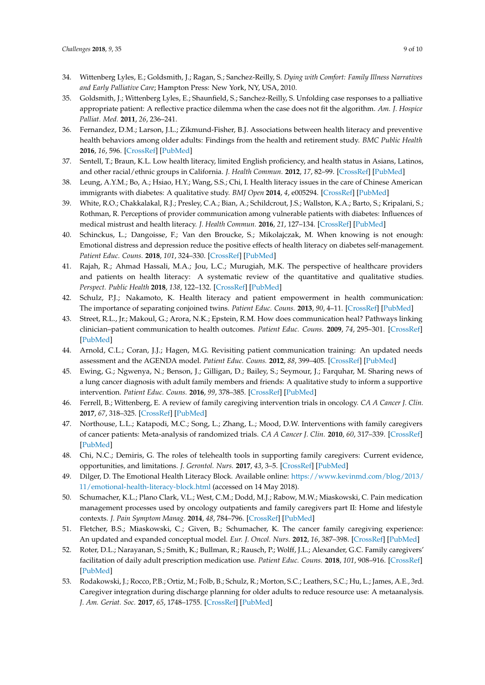- <span id="page-8-0"></span>34. Wittenberg Lyles, E.; Goldsmith, J.; Ragan, S.; Sanchez-Reilly, S. *Dying with Comfort: Family Illness Narratives and Early Palliative Care*; Hampton Press: New York, NY, USA, 2010.
- <span id="page-8-1"></span>35. Goldsmith, J.; Wittenberg Lyles, E.; Shaunfield, S.; Sanchez-Reilly, S. Unfolding case responses to a palliative appropriate patient: A reflective practice dilemma when the case does not fit the algorithm. *Am. J. Hospice Palliat. Med.* **2011**, *26*, 236–241.
- <span id="page-8-2"></span>36. Fernandez, D.M.; Larson, J.L.; Zikmund-Fisher, B.J. Associations between health literacy and preventive health behaviors among older adults: Findings from the health and retirement study. *BMC Public Health* **2016**, *16*, 596. [\[CrossRef\]](http://dx.doi.org/10.1186/s12889-016-3267-7) [\[PubMed\]](http://www.ncbi.nlm.nih.gov/pubmed/27430477)
- 37. Sentell, T.; Braun, K.L. Low health literacy, limited English proficiency, and health status in Asians, Latinos, and other racial/ethnic groups in California. *J. Health Commun.* **2012**, *17*, 82–99. [\[CrossRef\]](http://dx.doi.org/10.1080/10810730.2012.712621) [\[PubMed\]](http://www.ncbi.nlm.nih.gov/pubmed/23030563)
- <span id="page-8-3"></span>38. Leung, A.Y.M.; Bo, A.; Hsiao, H.Y.; Wang, S.S.; Chi, I. Health literacy issues in the care of Chinese American immigrants with diabetes: A qualitative study. *BMJ Open* **2014**, *4*, e005294. [\[CrossRef\]](http://dx.doi.org/10.1136/bmjopen-2014-005294) [\[PubMed\]](http://www.ncbi.nlm.nih.gov/pubmed/25406155)
- <span id="page-8-4"></span>39. White, R.O.; Chakkalakal, R.J.; Presley, C.A.; Bian, A.; Schildcrout, J.S.; Wallston, K.A.; Barto, S.; Kripalani, S.; Rothman, R. Perceptions of provider communication among vulnerable patients with diabetes: Influences of medical mistrust and health literacy. *J. Health Commun.* **2016**, *21*, 127–134. [\[CrossRef\]](http://dx.doi.org/10.1080/10810730.2016.1207116) [\[PubMed\]](http://www.ncbi.nlm.nih.gov/pubmed/27662442)
- <span id="page-8-5"></span>40. Schinckus, L.; Dangoisse, F.; Van den Broucke, S.; Mikolajczak, M. When knowing is not enough: Emotional distress and depression reduce the positive effects of health literacy on diabetes self-management. *Patient Educ. Couns.* **2018**, *101*, 324–330. [\[CrossRef\]](http://dx.doi.org/10.1016/j.pec.2017.08.006) [\[PubMed\]](http://www.ncbi.nlm.nih.gov/pubmed/28855062)
- <span id="page-8-6"></span>41. Rajah, R.; Ahmad Hassali, M.A.; Jou, L.C.; Murugiah, M.K. The perspective of healthcare providers and patients on health literacy: A systematic review of the quantitative and qualitative studies. *Perspect. Public Health* **2018**, *138*, 122–132. [\[CrossRef\]](http://dx.doi.org/10.1177/1757913917733775) [\[PubMed\]](http://www.ncbi.nlm.nih.gov/pubmed/28980881)
- <span id="page-8-7"></span>42. Schulz, P.J.; Nakamoto, K. Health literacy and patient empowerment in health communication: The importance of separating conjoined twins. *Patient Educ. Couns.* **2013**, *90*, 4–11. [\[CrossRef\]](http://dx.doi.org/10.1016/j.pec.2012.09.006) [\[PubMed\]](http://www.ncbi.nlm.nih.gov/pubmed/23063359)
- <span id="page-8-8"></span>43. Street, R.L., Jr.; Makoul, G.; Arora, N.K.; Epstein, R.M. How does communication heal? Pathways linking clinician–patient communication to health outcomes. *Patient Educ. Couns.* **2009**, *74*, 295–301. [\[CrossRef\]](http://dx.doi.org/10.1016/j.pec.2008.11.015) [\[PubMed\]](http://www.ncbi.nlm.nih.gov/pubmed/19150199)
- <span id="page-8-9"></span>44. Arnold, C.L.; Coran, J.J.; Hagen, M.G. Revisiting patient communication training: An updated needs assessment and the AGENDA model. *Patient Educ. Couns.* **2012**, *88*, 399–405. [\[CrossRef\]](http://dx.doi.org/10.1016/j.pec.2012.06.026) [\[PubMed\]](http://www.ncbi.nlm.nih.gov/pubmed/22796086)
- <span id="page-8-10"></span>45. Ewing, G.; Ngwenya, N.; Benson, J.; Gilligan, D.; Bailey, S.; Seymour, J.; Farquhar, M. Sharing news of a lung cancer diagnosis with adult family members and friends: A qualitative study to inform a supportive intervention. *Patient Educ. Couns.* **2016**, *99*, 378–385. [\[CrossRef\]](http://dx.doi.org/10.1016/j.pec.2015.09.013) [\[PubMed\]](http://www.ncbi.nlm.nih.gov/pubmed/26519236)
- <span id="page-8-11"></span>46. Ferrell, B.; Wittenberg, E. A review of family caregiving intervention trials in oncology. *CA A Cancer J. Clin.* **2017**, *67*, 318–325. [\[CrossRef\]](http://dx.doi.org/10.3322/caac.21396) [\[PubMed\]](http://www.ncbi.nlm.nih.gov/pubmed/28319263)
- <span id="page-8-12"></span>47. Northouse, L.L.; Katapodi, M.C.; Song, L.; Zhang, L.; Mood, D.W. Interventions with family caregivers of cancer patients: Meta-analysis of randomized trials. *CA A Cancer J. Clin.* **2010**, *60*, 317–339. [\[CrossRef\]](http://dx.doi.org/10.3322/caac.20081) [\[PubMed\]](http://www.ncbi.nlm.nih.gov/pubmed/20709946)
- <span id="page-8-13"></span>48. Chi, N.C.; Demiris, G. The roles of telehealth tools in supporting family caregivers: Current evidence, opportunities, and limitations. *J. Gerontol. Nurs.* **2017**, *43*, 3–5. [\[CrossRef\]](http://dx.doi.org/10.3928/00989134-20170111-04) [\[PubMed\]](http://www.ncbi.nlm.nih.gov/pubmed/28128391)
- <span id="page-8-14"></span>49. Dilger, D. The Emotional Health Literacy Block. Available online: [https://www.kevinmd.com/blog/2013/](https://www.kevinmd.com/blog/2013/11/emotional-health-literacy-block.html) [11/emotional-health-literacy-block.html](https://www.kevinmd.com/blog/2013/11/emotional-health-literacy-block.html) (accessed on 14 May 2018).
- <span id="page-8-15"></span>50. Schumacher, K.L.; Plano Clark, V.L.; West, C.M.; Dodd, M.J.; Rabow, M.W.; Miaskowski, C. Pain medication management processes used by oncology outpatients and family caregivers part II: Home and lifestyle contexts. *J. Pain Symptom Manag.* **2014**, *48*, 784–796. [\[CrossRef\]](http://dx.doi.org/10.1016/j.jpainsymman.2013.12.247) [\[PubMed\]](http://www.ncbi.nlm.nih.gov/pubmed/24709364)
- <span id="page-8-16"></span>51. Fletcher, B.S.; Miaskowski, C.; Given, B.; Schumacher, K. The cancer family caregiving experience: An updated and expanded conceptual model. *Eur. J. Oncol. Nurs.* **2012**, *16*, 387–398. [\[CrossRef\]](http://dx.doi.org/10.1016/j.ejon.2011.09.001) [\[PubMed\]](http://www.ncbi.nlm.nih.gov/pubmed/22000812)
- <span id="page-8-17"></span>52. Roter, D.L.; Narayanan, S.; Smith, K.; Bullman, R.; Rausch, P.; Wolff, J.L.; Alexander, G.C. Family caregivers' facilitation of daily adult prescription medication use. *Patient Educ. Couns.* **2018**, *101*, 908–916. [\[CrossRef\]](http://dx.doi.org/10.1016/j.pec.2017.12.018) [\[PubMed\]](http://www.ncbi.nlm.nih.gov/pubmed/29352620)
- <span id="page-8-18"></span>53. Rodakowski, J.; Rocco, P.B.; Ortiz, M.; Folb, B.; Schulz, R.; Morton, S.C.; Leathers, S.C.; Hu, L.; James, A.E., 3rd. Caregiver integration during discharge planning for older adults to reduce resource use: A metaanalysis. *J. Am. Geriat. Soc.* **2017**, *65*, 1748–1755. [\[CrossRef\]](http://dx.doi.org/10.1111/jgs.14873) [\[PubMed\]](http://www.ncbi.nlm.nih.gov/pubmed/28369687)